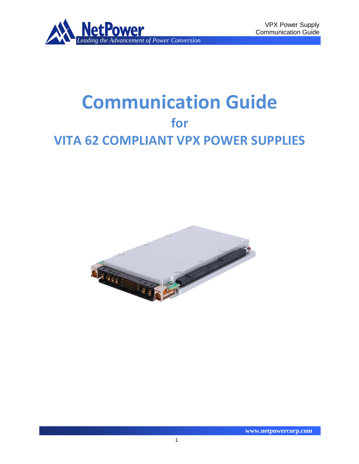

# **Communication Guide for VITA 62 COMPLIANT VPX POWER SUPPLIES**

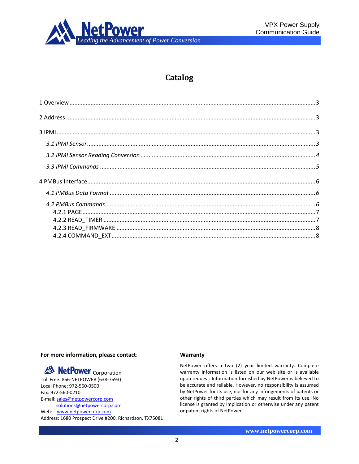

# **Catalog**

### **For more information, please contact**:

*AN* NetPower <sub>Corporation</sub>

Toll Free: 866-NETPOWER (638-7693) Local Phone: 972-560-0500 Fax: 972-560-0210 E-mail[: sales@netpowercorp.com](mailto:sales@netpowercorp.com) [solutions@netpowercorp.com](mailto:solutions@netpowercorp.com) Web: [www.netpowercorp.com](http://www.netpowercorp.com/) Address: 1680 Prospect Drive #200, Richardson, TX75081

#### **Warranty**

NetPower offers a two (2) year limited warranty. Complete warranty information is listed on our web site or is available upon request. Information furnished by NetPower is believed to be accurate and reliable. However, no responsibility is assumed by NetPower for its use, nor for any infringements of patents or other rights of third parties which may result from its use. No license is granted by implication or otherwise under any patent or patent rights of NetPower.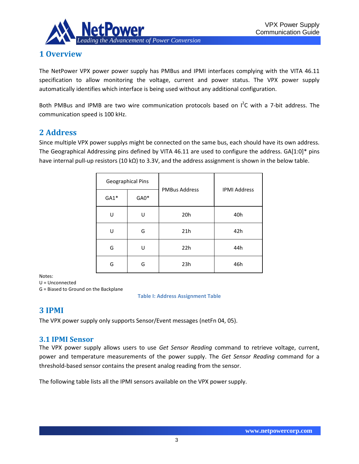

# <span id="page-2-0"></span>**1 Overview**

The NetPower VPX power power supply has PMBus and IPMI interfaces complying with the VITA 46.11 specification to allow monitoring the voltage, current and power status. The VPX power supply automatically identifies which interface is being used without any additional configuration.

Both PMBus and IPMB are two wire communication protocols based on  $I^2C$  with a 7-bit address. The communication speed is 100 kHz.

## <span id="page-2-1"></span>**2 Address**

Since multiple VPX power supplys might be connected on the same bus, each should have its own address. The Geographical Addressing pins defined by VITA 46.11 are used to configure the address. GA[1:0]\* pins have internal pull-up resistors (10 kΩ) to 3.3V, and the address assignment is shown in the below table.

|        | <b>Geographical Pins</b> |                      | <b>IPMI Address</b> |  |
|--------|--------------------------|----------------------|---------------------|--|
| $GA1*$ | $GAO*$                   | <b>PMBus Address</b> |                     |  |
| U      | U                        | 20h                  | 40h                 |  |
| U      | G                        | 21h                  | 42h                 |  |
| G      | U                        | 22h                  | 44h                 |  |
| G      | G                        | 23h                  | 46h                 |  |

Notes:

U = Unconnected

G = Biased to Ground on the Backplane

**Table I: Address Assignment Table**

## <span id="page-2-2"></span>**3 IPMI**

The VPX power supply only supports Sensor/Event messages (netFn 04, 05).

## <span id="page-2-3"></span>**3.1 IPMI Sensor**

The VPX power supply allows users to use *Get Sensor Reading* command to retrieve voltage, current, power and temperature measurements of the power supply. The *Get Sensor Reading* command for a threshold-based sensor contains the present analog reading from the sensor.

The following table lists all the IPMI sensors available on the VPX power supply.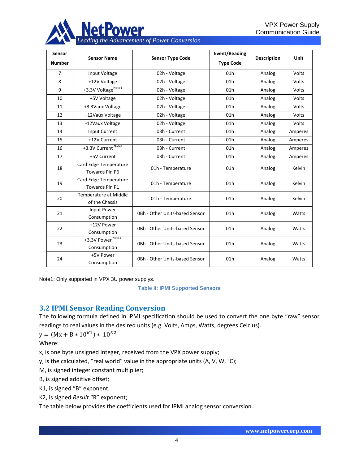

| Sensor         | <b>Sensor Name</b>                             |                                | <b>Event/Reading</b> |                    | <b>Unit</b> |
|----------------|------------------------------------------------|--------------------------------|----------------------|--------------------|-------------|
| <b>Number</b>  |                                                | <b>Sensor Type Code</b>        | <b>Type Code</b>     | <b>Description</b> |             |
| $\overline{7}$ | Input Voltage                                  | 02h - Voltage                  | 01h                  | Analog             | Volts       |
| 8              | +12V Voltage                                   | 02h - Voltage                  | 01h                  | Analog             | Volts       |
| 9              | +3.3V VoltageNote1                             | 02h - Voltage                  | 01h                  | Analog             | Volts       |
| 10             | +5V Voltage                                    | 02h - Voltage                  | 01h                  | Analog             | Volts       |
| 11             | +3.3Vaux Voltage                               | 02h - Voltage                  | 01h                  | Analog             | Volts       |
| 12             | +12Vaux Voltage                                | 02h - Voltage                  | 01h                  | Analog             | Volts       |
| 13             | -12Vaux Voltage                                | 02h - Voltage                  | 01h                  | Analog             | Volts       |
| 14             | <b>Input Current</b>                           | 03h - Current                  | 01h                  | Analog             | Amperes     |
| 15             | +12V Current                                   | 03h - Current                  | 01h                  | Analog             | Amperes     |
| 16             | +3.3V Current Note1                            | 03h - Current                  | 01h                  | Analog             | Amperes     |
| 17             | +5V Current                                    | 03h - Current                  | 01h                  | Analog             | Amperes     |
| 18             | Card Edge Temperature<br>Towards Pin P6        | 01h - Temperature              | 01h                  | Analog             | Kelvin      |
| 19             | Card Edge Temperature<br>Towards Pin P1        | 01h - Temperature              | 01h                  | Analog             | Kelvin      |
| 20             | <b>Temperature at Middle</b><br>of the Chassis | 01h - Temperature              | 01h                  | Analog             | Kelvin      |
| 21             | Input Power<br>Consumption                     | 0Bh - Other Units-based Sensor | 01h                  | Analog             | Watts       |
| 22             | +12V Power<br>Consumption                      | 0Bh - Other Units-based Sensor | 01h                  | Analog             | Watts       |
| 23             | +3.3V Power <sup>Note1</sup><br>Consumption    | 0Bh - Other Units-based Sensor | 01h                  | Analog             | Watts       |
| 24             | +5V Power<br>Consumption                       | 0Bh - Other Units-based Sensor | 01h                  | Analog             | Watts       |

Note1: Only supported in VPX 3U power supplys.

**Table II: IPMI Supported Sensors**

## <span id="page-3-0"></span>**3.2 IPMI Sensor Reading Conversion**

The following formula defined in IPMI specification should be used to convert the one byte "raw" sensor readings to real values in the desired units (e.g. Volts, Amps, Watts, degrees Celcius).

 $y = (Mx + B * 10^{K1}) * 10^{K2}$ 

Where:

x, is one byte unsigned integer, received from the VPX power supply;

y, is the calculated, "real world" value in the appropriate units (A, V, W, °C);

M, is signed integer constant multiplier;

B, is signed additive offset;

K1, is signed "B" exponent;

K2, is signed *Result* "R" exponent;

The table below provides the coefficients used for IPMI analog sensor conversion.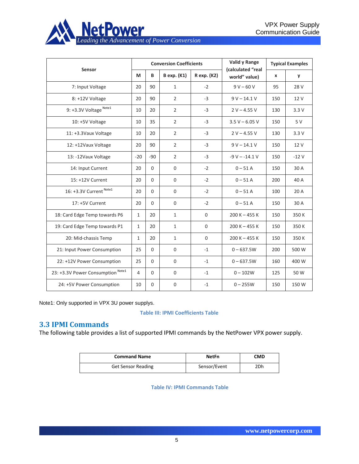

| Sensor                                       |              |              | <b>Conversion Coefficients</b> |              | Valid y Range<br>(calculated "real |     | <b>Typical Examples</b> |
|----------------------------------------------|--------------|--------------|--------------------------------|--------------|------------------------------------|-----|-------------------------|
|                                              |              | B            | <b>B</b> exp. (K1)             | R exp. (K2)  | world" value)                      | x   | y                       |
| 7: Input Voltage                             | 20           | 90           | $\mathbf{1}$                   | $-2$         | $9 V - 60 V$                       | 95  | 28 V                    |
| 8: +12V Voltage                              | 20           | 90           | $\overline{2}$                 | $-3$         | $9 V - 14.1 V$                     | 150 | 12 V                    |
| 9: +3.3V Voltage Note1                       | 10           | 20           | 2                              | $-3$         | $2 V - 4.55 V$                     | 130 | 3.3V                    |
| 10: +5V Voltage                              | 10           | 35           | $\overline{2}$                 | $-3$         | $3.5 V - 6.05 V$                   | 150 | 5 V                     |
| 11: +3.3Vaux Voltage                         | 10           | 20           | $\overline{2}$                 | $-3$         | $2 V - 4.55 V$                     | 130 | 3.3V                    |
| 12: +12Vaux Voltage                          | 20           | 90           | $\overline{2}$                 | $-3$         | $9 V - 14.1 V$                     | 150 | 12 V                    |
| 13: -12Vaux Voltage                          |              | $-90$        | $\overline{2}$                 | $-3$         | $-9 V - -14.1 V$                   | 150 | $-12V$                  |
| 14: Input Current                            | 20           | $\Omega$     | $\mathbf 0$                    | $-2$         | $0 - 51A$                          | 150 | 30 A                    |
| 15: +12V Current                             |              | $\Omega$     | $\mathbf 0$                    | $-2$         | $0 - 51A$                          | 200 | 40 A                    |
| 16: +3.3V Current Note1                      |              | $\Omega$     | $\mathbf 0$                    | $-2$         | $0 - 51A$                          | 100 | 20 A                    |
| 17: +5V Current                              |              | $\mathbf{0}$ | $\mathbf 0$                    | $-2$         | $0 - 51A$                          | 150 | 30 A                    |
| 18: Card Edge Temp towards P6                | $\mathbf{1}$ | 20           | $\mathbf{1}$                   | $\mathbf{0}$ | $200 K - 455 K$                    | 150 | 350K                    |
| 19: Card Edge Temp towards P1                | $\mathbf{1}$ | 20           | $\mathbf{1}$                   | $\mathbf 0$  | $200 K - 455 K$                    | 150 | 350 K                   |
| 20: Mid-chassis Temp                         |              | 20           | $\mathbf{1}$                   | $\mathbf 0$  | $200 K - 455 K$                    | 150 | 350K                    |
| 21: Input Power Consumption                  |              | $\Omega$     | $\mathbf 0$                    | $-1$         | $0 - 637.5W$                       | 200 | 500 W                   |
| 22: +12V Power Consumption                   |              | $\Omega$     | $\mathbf{0}$                   | $-1$         | $0 - 637.5W$                       | 160 | 400 W                   |
| 23: +3.3V Power Consumption <sup>Note1</sup> | 4            | $\Omega$     | $\mathbf 0$                    | $-1$         | $0 - 102W$                         | 125 | 50 W                    |
| 24: +5V Power Consumption                    |              | $\mathbf 0$  | $\mathbf 0$                    | $-1$         | $0 - 255W$                         | 150 | 150W                    |

Note1: Only supported in VPX 3U power supplys.

## **Table III: IPMI Coefficients Table**

## <span id="page-4-0"></span>**3.3 IPMI Commands**

The following table provides a list of supported IPMI commands by the NetPower VPX power supply.

| <b>Command Name</b>       | NetFn        | CMD  |
|---------------------------|--------------|------|
| <b>Get Sensor Reading</b> | Sensor/Event | 2Dh. |

**Table IV: IPMI Commands Table**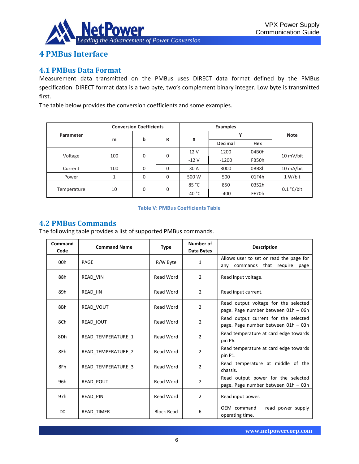

# <span id="page-5-0"></span>**4 PMBus Interface**

## <span id="page-5-1"></span>**4.1 PMBus Data Format**

Measurement data transmitted on the PMBus uses DIRECT data format defined by the PMBus specification. DIRECT format data is a two byte, two's complement binary integer. Low byte is transmitted first.

The table below provides the conversion coefficients and some examples.

| <b>Conversion Coefficients</b> |     |        |        | <b>Examples</b> |                |           |             |       |               |
|--------------------------------|-----|--------|--------|-----------------|----------------|-----------|-------------|-------|---------------|
| Parameter<br>m                 |     |        |        | X               | γ              |           | <b>Note</b> |       |               |
|                                |     | b      | R      |                 | <b>Decimal</b> | Hex       |             |       |               |
| Voltage<br>100                 |     | 0<br>0 | 12 V   | 1200            | 04B0h          | 10 mV/bit |             |       |               |
|                                |     |        | $-12V$ | $-1200$         | FB50h          |           |             |       |               |
| Current                        | 100 | 0      | 0      | 30 A            | 3000           | 0BB8h     | 10 mA/bit   |       |               |
| Power                          |     | 0      | 0      | 500 W           | 500            | 01F4h     | 1 W/bit     |       |               |
| 10<br>Temperature              |     |        |        |                 |                | 85 °C     | 850         | 0352h |               |
|                                |     |        |        | 0               | 0              | $-40 °C$  | $-400$      | FE70h | $0.1 °C/b$ it |

### **Table V: PMBus Coefficients Table**

## <span id="page-5-2"></span>**4.2 PMBus Commands**

The following table provides a list of supported PMBus commands.

| Command<br>Code | <b>Command Name</b><br><b>Type</b> |                   | Number of<br>Data Bytes | <b>Description</b>                                                              |
|-----------------|------------------------------------|-------------------|-------------------------|---------------------------------------------------------------------------------|
| 00h             | PAGE                               | R/W Byte          | $\mathbf{1}$            | Allows user to set or read the page for<br>commands that require<br>any<br>page |
| 88h             | READ_VIN                           | <b>Read Word</b>  | $\overline{2}$          | Read input voltage.                                                             |
| 89h             | READ IIN                           | Read Word         | $\overline{2}$          | Read input current.                                                             |
| 8Bh             | READ VOUT                          | <b>Read Word</b>  | $\overline{2}$          | Read output voltage for the selected<br>page. Page number between 01h - 06h     |
| 8Ch             | <b>READ IOUT</b>                   | Read Word         | $\overline{2}$          | Read output current for the selected<br>page. Page number between 01h - 03h     |
| 8Dh             | READ TEMPERATURE 1                 | <b>Read Word</b>  | $\overline{2}$          | Read temperature at card edge towards<br>pin P6.                                |
| 8Eh             | READ TEMPERATURE 2                 | <b>Read Word</b>  | $\overline{2}$          | Read temperature at card edge towards<br>pin P1.                                |
| 8Fh             | READ TEMPERATURE 3                 | <b>Read Word</b>  | $\overline{2}$          | Read temperature at middle of the<br>chassis.                                   |
| 96h             | READ POUT                          | <b>Read Word</b>  | $\overline{2}$          | Read output power for the selected<br>page. Page number between 01h - 03h       |
| 97h             | READ PIN                           | Read Word         | $\overline{2}$          | Read input power.                                                               |
| D <sub>0</sub>  | READ TIMER                         | <b>Block Read</b> | 6                       | OEM command $-$ read power supply<br>operating time.                            |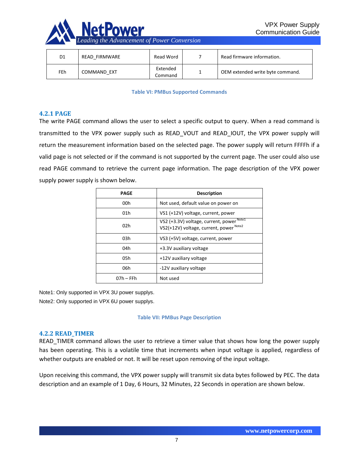

| D1  | READ FIRMWARE | Read Word           | Read firmware information.       |
|-----|---------------|---------------------|----------------------------------|
| FEh | COMMAND EXT   | Extended<br>Command | OEM extended write byte command. |

#### **Table VI: PMBus Supported Commands**

## <span id="page-6-0"></span>**4.2.1 PAGE**

The write PAGE command allows the user to select a specific output to query. When a read command is transmitted to the VPX power supply such as READ\_VOUT and READ\_IOUT, the VPX power supply will return the measurement information based on the selected page. The power supply will return FFFFh if a valid page is not selected or if the command is not supported by the current page. The user could also use read PAGE command to retrieve the current page information. The page description of the VPX power supply power supply is shown below.

| <b>PAGE</b>     | <b>Description</b>                                                                              |
|-----------------|-------------------------------------------------------------------------------------------------|
| 00h             | Not used, default value on power on                                                             |
| 01 <sub>h</sub> | VS1 (+12V) voltage, current, power                                                              |
| 02h             | VS2 (+3.3V) voltage, current, power Note1<br>VS2(+12V) voltage, current, power <sup>Note2</sup> |
| 03h             | VS3 (+5V) voltage, current, power                                                               |
| 04h             | +3.3V auxiliary voltage                                                                         |
| 05h             | +12V auxiliary voltage                                                                          |
| 06h             | -12V auxiliary voltage                                                                          |
| 07h – FFh       | Not used                                                                                        |

Note1: Only supported in VPX 3U power supplys.

Note2: Only supported in VPX 6U power supplys.

### **Table VII: PMBus Page Description**

## <span id="page-6-1"></span>**4.2.2 READ\_TIMER**

READ\_TIMER command allows the user to retrieve a timer value that shows how long the power supply has been operating. This is a volatile time that increments when input voltage is applied, regardless of whether outputs are enabled or not. It will be reset upon removing of the input voltage.

Upon receiving this command, the VPX power supply will transmit six data bytes followed by PEC. The data description and an example of 1 Day, 6 Hours, 32 Minutes, 22 Seconds in operation are shown below.